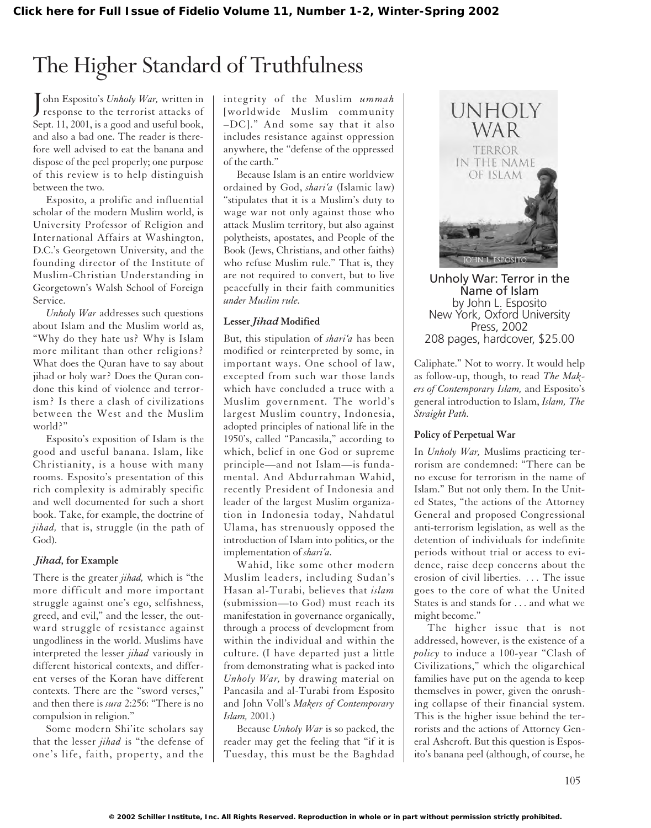# The Higher Standard of Truthfulness

John Esposito's *Unholy War,* written in response to the terrorist attacks of Sept. 11, 2001, is a good and useful book, and also a bad one. The reader is therefore well advised to eat the banana and dispose of the peel properly; one purpose of this review is to help distinguish between the two.

Esposito, a prolific and influential scholar of the modern Muslim world, is University Professor of Religion and International Affairs at Washington, D.C.'s Georgetown University, and the founding director of the Institute of Muslim-Christian Understanding in Georgetown's Walsh School of Foreign Service.

*Unholy War* addresses such questions about Islam and the Muslim world as, "Why do they hate us? Why is Islam more militant than other religions? What does the Quran have to say about jihad or holy war? Does the Quran condone this kind of violence and terrorism? Is there a clash of civilizations between the West and the Muslim world?"

Esposito's exposition of Islam is the good and useful banana. Islam, like Christianity, is a house with many rooms. Esposito's presentation of this rich complexity is admirably specific and well documented for such a short book. Take, for example, the doctrine of *jihad,* that is, struggle (in the path of God).

### *Jihad,* **for Example**

There is the greater *jihad,* which is "the more difficult and more important struggle against one's ego, selfishness, greed, and evil," and the lesser, the outward struggle of resistance against ungodliness in the world. Muslims have interpreted the lesser *jihad* variously in different historical contexts, and different verses of the Koran have different contexts. There are the "sword verses," and then there is *sura* 2:256: "There is no compulsion in religion."

Some modern Shi'ite scholars say that the lesser *jihad* is "the defense of one's life, faith, property, and the

integrity of the Muslim *ummah* [worldwide Muslim community –DC]." And some say that it also includes resistance against oppression anywhere, the "defense of the oppressed of the earth."

Because Islam is an entire worldview ordained by God, *shari'a* (Islamic law) "stipulates that it is a Muslim's duty to wage war not only against those who attack Muslim territory, but also against polytheists, apostates, and People of the Book (Jews, Christians, and other faiths) who refuse Muslim rule." That is, they are not required to convert, but to live peacefully in their faith communities *under Muslim rule.*

#### **Lesser** *Jihad* **Modified**

But, this stipulation of *shari'a* has been modified or reinterpreted by some, in important ways. One school of law, excepted from such war those lands which have concluded a truce with a Muslim government. The world's largest Muslim country, Indonesia, adopted principles of national life in the 1950's, called "Pancasila," according to which, belief in one God or supreme principle—and not Islam—is fundamental. And Abdurrahman Wahid, recently President of Indonesia and leader of the largest Muslim organization in Indonesia today, Nahdatul Ulama, has strenuously opposed the introduction of Islam into politics, or the implementation of *shari'a.*

Wahid, like some other modern Muslim leaders, including Sudan's Hasan al-Turabi, believes that *islam* (submission—to God) must reach its manifestation in governance organically, through a process of development from within the individual and within the culture. (I have departed just a little from demonstrating what is packed into *Unholy War,* by drawing material on Pancasila and al-Turabi from Esposito and John Voll's *Makers of Contemporary Islam,* 2001.)

Because *Unholy War* is so packed, the reader may get the feeling that "if it is Tuesday, this must be the Baghdad



Unholy War: Terror in the Name of Islam by John L. Esposito New York, Oxford University Press, 2002 208 pages, hardcover, \$25.00

Caliphate." Not to worry. It would help as follow-up, though, to read *The Makers of Contemporary Islam,* and Esposito's general introduction to Islam, *Islam, The Straight Path.*

#### **Policy of Perpetual War**

In *Unholy War,* Muslims practicing terrorism are condemned: "There can be no excuse for terrorism in the name of Islam." But not only them. In the United States, "the actions of the Attorney General and proposed Congressional anti-terrorism legislation, as well as the detention of individuals for indefinite periods without trial or access to evidence, raise deep concerns about the erosion of civil liberties. . . . The issue goes to the core of what the United States is and stands for . . . and what we might become."

The higher issue that is not addressed, however, is the existence of a *policy* to induce a 100-year "Clash of Civilizations," which the oligarchical families have put on the agenda to keep themselves in power, given the onrushing collapse of their financial system. This is the higher issue behind the terrorists and the actions of Attorney General Ashcroft. But this question is Esposito's banana peel (although, of course, he